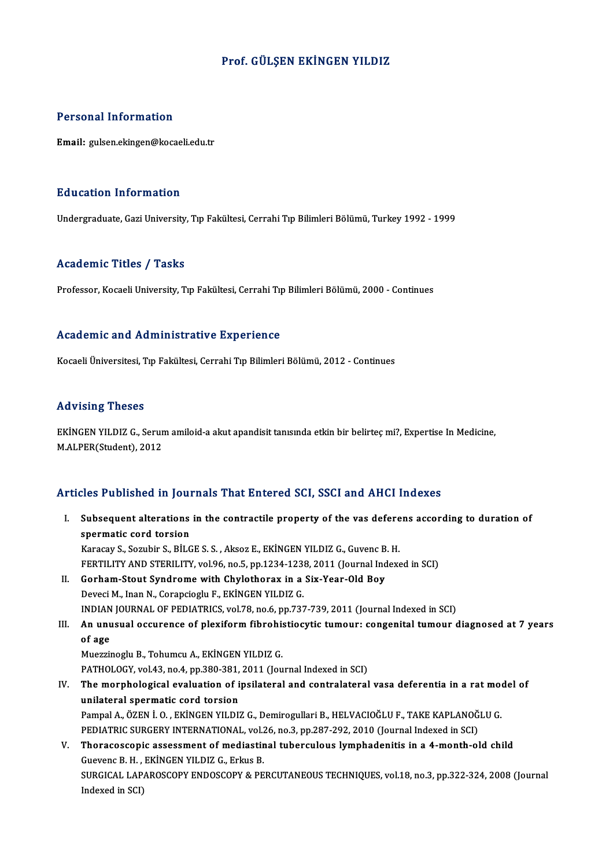# Prof. GÜLŞEN EKİNGEN YILDIZ

# Personal Information

Email: gulsen.ekingen@kocaeli.edu.tr

# Education Information

Undergraduate, Gazi University, Tıp Fakültesi, Cerrahi Tıp Bilimleri Bölümü, Turkey 1992 - 1999

### Academic Titles / Tasks

Professor, Kocaeli University, Tıp Fakültesi, Cerrahi Tıp Bilimleri Bölümü, 2000 - Continues

# Academic and Administrative Experience

Kocaeli Üniversitesi, Tıp Fakültesi, Cerrahi Tıp Bilimleri Bölümü, 2012 - Continues

### Advising Theses

Advising Theses<br>EKİNGEN YILDIZ G., Serum amiloid-a akut apandisit tanısında etkin bir belirteç mi?, Expertise In Medicine,<br>MALRER(Student), 2012 111 FISH & 112222<br>EKİNGEN YILDIZ G., Serur<br>M.ALPER(Student), 2012

# Articles Published in Journals That Entered SCI, SSCI and AHCI Indexes

rticles Published in Journals That Entered SCI, SSCI and AHCI Indexes<br>I. Subsequent alterations in the contractile property of the vas deferens according to duration of spermatic cord throw<br>Subsequent alterations<br>spermatic cord torsion<br>Kanagu S. Sambin S. Pit G Subsequent alterations in the contractile property of the vas defere<br>spermatic cord torsion<br>Karacay S., Sozubir S., BİLGE S. S. , Aksoz E., EKİNGEN YILDIZ G., Guvenc B. H.<br>EERTILITY AND STERH ITY val 96 no 5 nn 1224 1229 2 spermatic cord torsion<br>Karacay S., Sozubir S., BİLGE S. S. , Aksoz E., EKİNGEN YILDIZ G., Guvenc B. H.<br>FERTILITY AND STERILITY, vol.96, no.5, pp.1234-1238, 2011 (Journal Indexed in SCI) Karacay S., Sozubir S., BİLGE S. S., Aksoz E., EKİNGEN YILDIZ G., Guvenc B<br>FERTILITY AND STERILITY, vol.96, no.5, pp.1234-1238, 2011 (Journal Ind<br>II. Gorham-Stout Syndrome with Chylothorax in a Six-Year-Old Boy<br>Davesi M. J FERTILITY AND STERILITY, vol.96, no.5, pp.1234-1238<br>Gorham-Stout Syndrome with Chylothorax in a<br>Deveci M., Inan N., Corapcioglu F., EKİNGEN YILDIZ G.<br>INDIAN IQUPNAL OF PEDIATRICS, vol.79, no.6, np.725 Gorham-Stout Syndrome with Chylothorax in a Six-Year-Old Boy<br>Deveci M., Inan N., Corapcioglu F., EKİNGEN YILDIZ G.<br>INDIAN JOURNAL OF PEDIATRICS, vol.78, no.6, pp.737-739, 2011 (Journal Indexed in SCI)<br>An unusual ossuranse Deveci M., Inan N., Corapcioglu F., EKİNGEN YILDIZ G.<br>INDIAN JOURNAL OF PEDIATRICS, vol.78, no.6, pp.737-739, 2011 (Journal Indexed in SCI)<br>III. An unusual occurence of plexiform fibrohistiocytic tumour: congenital tum INDIAN<br>**An unu**<br>of age<br>Muezzi An unusual occurence of plexiform fibrohis<br>of age<br>Muezzinoglu B., Tohumcu A., EKİNGEN YILDIZ G.<br>PATHOLOCY val 42 no 4 nn 390 391 3011 (Jou of age<br>Muezzinoglu B., Tohumcu A., EKİNGEN YILDIZ G.<br>PATHOLOGY, vol.43, no.4, pp.380-381, 2011 (Journal Indexed in SCI)<br>The mornhologisel evoluation of insilateral and contralateral Muezzinoglu B., Tohumcu A., EKİNGEN YILDIZ G.<br>PATHOLOGY, vol.43, no.4, pp.380-381, 2011 (Journal Indexed in SCI)<br>IV. The morphological evaluation of ipsilateral and contralateral vasa deferentia in a rat model of<br>unilatera PATHOLOGY, vol.43, no.4, pp.380-381,<br>The morphological evaluation of i<br>unilateral spermatic cord torsion<br>Pampel A. ÖZEN LO. EKİNCEN VU DI. The morphological evaluation of ipsilateral and contralateral vasa deferentia in a rat mo<br>unilateral spermatic cord torsion<br>Pampal A., ÖZEN İ. O. , EKİNGEN YILDIZ G., Demirogullari B., HELVACIOĞLU F., TAKE KAPLANOĞLU G.<br>PE unilateral spermatic cord torsion<br>Pampal A., ÖZEN İ. O. , EKİNGEN YILDIZ G., Demirogullari B., HELVACIOĞLU F., TAKE KAPLANOĞ<br>PEDIATRIC SURGERY INTERNATIONAL, vol.26, no.3, pp.287-292, 2010 (Journal Indexed in SCI)<br>Thereces Pampal A., ÖZEN İ. O. , EKİNGEN YILDIZ G., Demirogullari B., HELVACIOĞLU F., TAKE KAPLANOĞLU G.<br>PEDIATRIC SURGERY INTERNATIONAL, vol.26, no.3, pp.287-292, 2010 (Journal Indexed in SCI)<br>V. Thoracoscopic assessment of medias PEDIATRIC SURGERY INTERNATIONAL, vol.26, no.3, pp.287-292, 2010 (Journal Indexed in SCI)<br>V. Thoracoscopic assessment of mediastinal tuberculous lymphadenitis in a 4-month-old child SURGICAL LAPAROSCOPY ENDOSCOPY & PERCUTANEOUS TECHNIQUES, vol.18, no.3, pp.322-324, 2008 (Journal Indexed in SCI) Guevenc B. H., EKİNGEN YILDIZ G., Erkus B.